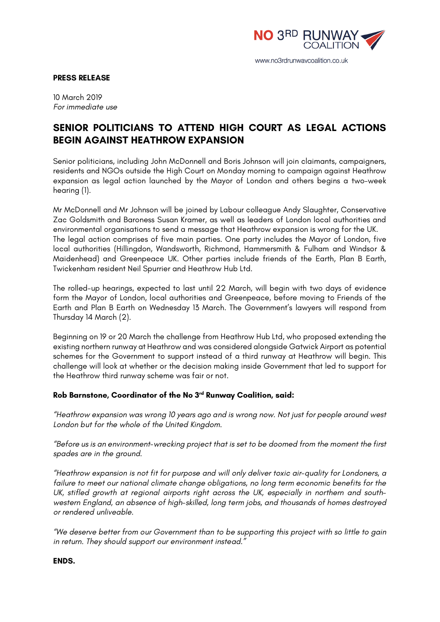

www.no3rdrunwaycoalition.co.uk

## **PRESS RELEASE**

10 March 2019 *For immediate use*

## **SENIOR POLITICIANS TO ATTEND HIGH COURT AS LEGAL ACTIONS BEGIN AGAINST HEATHROW EXPANSION**

Senior politicians, including John McDonnell and Boris Johnson will join claimants, campaigners, residents and NGOs outside the High Court on Monday morning to campaign against Heathrow expansion as legal action launched by the Mayor of London and others begins a two-week hearing (1).

Mr McDonnell and Mr Johnson will be joined by Labour colleague Andy Slaughter, Conservative Zac Goldsmith and Baroness Susan Kramer, as well as leaders of London local authorities and environmental organisations to send a message that Heathrow expansion is wrong for the UK. The legal action comprises of five main parties. One party includes the Mayor of London, five local authorities (Hillingdon, Wandsworth, Richmond, Hammersmith & Fulham and Windsor & Maidenhead) and Greenpeace UK. Other parties include friends of the Earth, Plan B Earth, Twickenham resident Neil Spurrier and Heathrow Hub Ltd.

The rolled-up hearings, expected to last until 22 March, will begin with two days of evidence form the Mayor of London, local authorities and Greenpeace, before moving to Friends of the Earth and Plan B Earth on Wednesday 13 March. The Government's lawyers will respond from Thursday 14 March (2).

Beginning on 19 or 20 March the challenge from Heathrow Hub Ltd, who proposed extending the existing northern runway at Heathrow and was considered alongside Gatwick Airport as potential schemes for the Government to support instead of a third runway at Heathrow will begin. This challenge will look at whether or the decision making inside Government that led to support for the Heathrow third runway scheme was fair or not.

## **Rob Barnstone, Coordinator of the No 3rd Runway Coalition, said:**

*"Heathrow expansion was wrong 10 years ago and is wrong now. Not just for people around west London but for the whole of the United Kingdom.*

*"Before us is an environment-wrecking project that is set to be doomed from the moment the first spades are in the ground.*

*"Heathrow expansion is not fit for purpose and will only deliver toxic air-quality for Londoners, a failure to meet our national climate change obligations, no long term economic benefits for the UK, stifled growth at regional airports right across the UK, especially in northern and southwestern England, an absence of high-skilled, long term jobs, and thousands of homes destroyed or rendered unliveable.*

*"We deserve better from our Government than to be supporting this project with so little to gain in return. They should support our environment instead."*

**ENDS.**